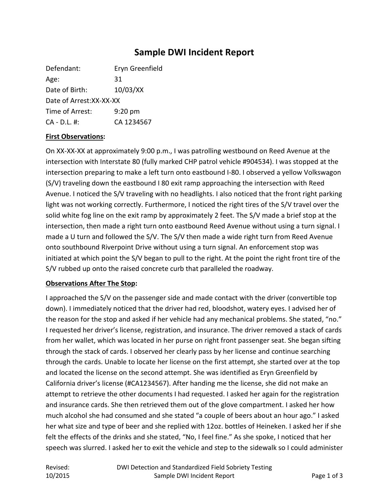# **Sample DWI Incident Report**

| Defendant:               | Eryn Greenfield |
|--------------------------|-----------------|
| Age:                     | 31              |
| Date of Birth:           | 10/03/XX        |
| Date of Arrest: XX-XX-XX |                 |
| Time of Arrest:          | $9:20$ pm       |
| $CA - D.L.$ #:           | CA 1234567      |

### **First Observations:**

On XX-XX-XX at approximately 9:00 p.m., I was patrolling westbound on Reed Avenue at the intersection with Interstate 80 (fully marked CHP patrol vehicle #904534). I was stopped at the intersection preparing to make a left turn onto eastbound I-80. I observed a yellow Volkswagon (S/V) traveling down the eastbound I 80 exit ramp approaching the intersection with Reed Avenue. I noticed the S/V traveling with no headlights. I also noticed that the front right parking light was not working correctly. Furthermore, I noticed the right tires of the S/V travel over the solid white fog line on the exit ramp by approximately 2 feet. The S/V made a brief stop at the intersection, then made a right turn onto eastbound Reed Avenue without using a turn signal. I made a U turn and followed the S/V. The S/V then made a wide right turn from Reed Avenue onto southbound Riverpoint Drive without using a turn signal. An enforcement stop was initiated at which point the S/V began to pull to the right. At the point the right front tire of the S/V rubbed up onto the raised concrete curb that paralleled the roadway.

#### **Observations After The Stop:**

I approached the S/V on the passenger side and made contact with the driver (convertible top down). I immediately noticed that the driver had red, bloodshot, watery eyes. I advised her of the reason for the stop and asked if her vehicle had any mechanical problems. She stated, "no." I requested her driver's license, registration, and insurance. The driver removed a stack of cards from her wallet, which was located in her purse on right front passenger seat. She began sifting through the stack of cards. I observed her clearly pass by her license and continue searching through the cards. Unable to locate her license on the first attempt, she started over at the top and located the license on the second attempt. She was identified as Eryn Greenfield by California driver's license (#CA1234567). After handing me the license, she did not make an attempt to retrieve the other documents I had requested. I asked her again for the registration and insurance cards. She then retrieved them out of the glove compartment. I asked her how much alcohol she had consumed and she stated "a couple of beers about an hour ago." I asked her what size and type of beer and she replied with 12oz. bottles of Heineken. I asked her if she felt the effects of the drinks and she stated, "No, I feel fine." As she spoke, I noticed that her speech was slurred. I asked her to exit the vehicle and step to the sidewalk so I could administer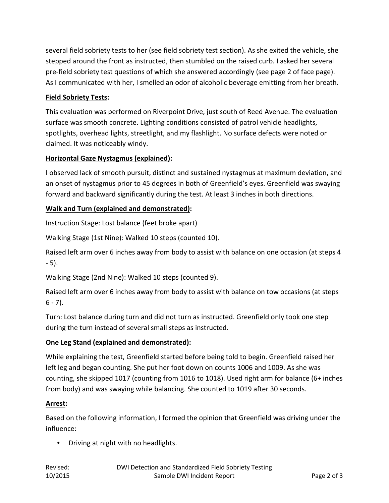several field sobriety tests to her (see field sobriety test section). As she exited the vehicle, she stepped around the front as instructed, then stumbled on the raised curb. I asked her several pre-field sobriety test questions of which she answered accordingly (see page 2 of face page). As I communicated with her, I smelled an odor of alcoholic beverage emitting from her breath.

### **Field Sobriety Tests:**

This evaluation was performed on Riverpoint Drive, just south of Reed Avenue. The evaluation surface was smooth concrete. Lighting conditions consisted of patrol vehicle headlights, spotlights, overhead lights, streetlight, and my flashlight. No surface defects were noted or claimed. It was noticeably windy.

## **Horizontal Gaze Nystagmus (explained):**

I observed lack of smooth pursuit, distinct and sustained nystagmus at maximum deviation, and an onset of nystagmus prior to 45 degrees in both of Greenfield's eyes. Greenfield was swaying forward and backward significantly during the test. At least 3 inches in both directions.

## **Walk and Turn (explained and demonstrated):**

Instruction Stage: Lost balance (feet broke apart)

Walking Stage (1st Nine): Walked 10 steps (counted 10).

Raised left arm over 6 inches away from body to assist with balance on one occasion (at steps 4 - 5).

Walking Stage (2nd Nine): Walked 10 steps (counted 9).

Raised left arm over 6 inches away from body to assist with balance on tow occasions (at steps  $6 - 7$ ).

Turn: Lost balance during turn and did not turn as instructed. Greenfield only took one step during the turn instead of several small steps as instructed.

# **One Leg Stand (explained and demonstrated):**

While explaining the test, Greenfield started before being told to begin. Greenfield raised her left leg and began counting. She put her foot down on counts 1006 and 1009. As she was counting, she skipped 1017 (counting from 1016 to 1018). Used right arm for balance (6+ inches from body) and was swaying while balancing. She counted to 1019 after 30 seconds.

### **Arrest:**

Based on the following information, I formed the opinion that Greenfield was driving under the influence:

• Driving at night with no headlights.